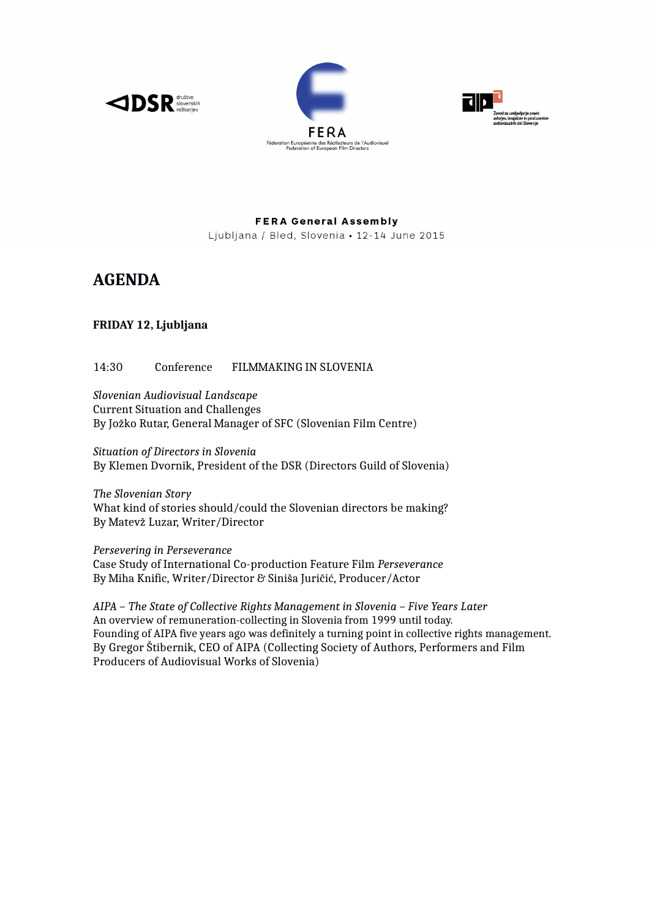





**FERA General Assembly** Ljubljana / Bled, Slovenia · 12-14 June 2015

# **AGENDA**

# **FRIDAY 12, Ljubljana**

## 14:30 Conference FILMMAKING IN SLOVENIA

*Slovenian Audiovisual Landscape*  Current Situation and Challenges By Jožko Rutar, General Manager of SFC (Slovenian Film Centre)

*Situation of Directors in Slovenia* By Klemen Dvornik, President of the DSR (Directors Guild of Slovenia)

*The Slovenian Story*  What kind of stories should/could the Slovenian directors be making? By Matevž Luzar, Writer/Director

*Persevering in Perseverance* Case Study of International Co-production Feature Film *Perseverance* By Miha Knific, Writer/Director & Siniša Juričić, Producer/Actor

*AIPA – The State of Collective Rights Management in Slovenia – Five Years Later*  An overview of remuneration-collecting in Slovenia from 1999 until today. Founding of AIPA five years ago was definitely a turning point in collective rights management. By Gregor Štibernik, CEO of AIPA (Collecting Society of Authors, Performers and Film Producers of Audiovisual Works of Slovenia)